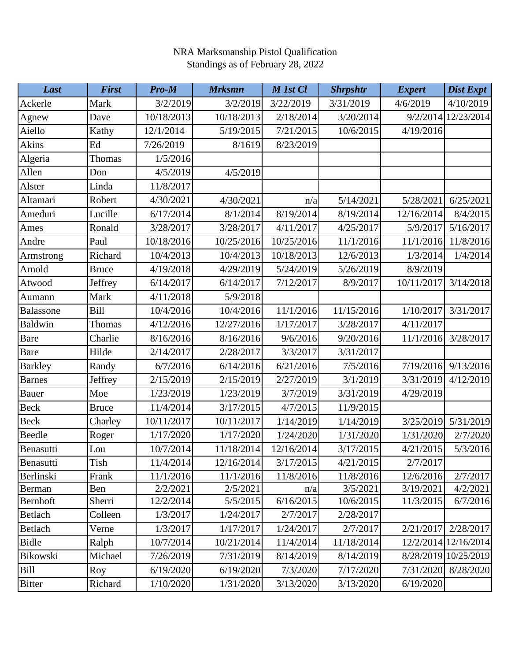| Last           | <b>First</b> | $Pro-M$    | <b>Mrksmn</b> | M 1st Cl   | <b>Shrpshtr</b> | <b>Expert</b> | Dist Expt  |
|----------------|--------------|------------|---------------|------------|-----------------|---------------|------------|
| Ackerle        | Mark         | 3/2/2019   | 3/2/2019      | 3/22/2019  | 3/31/2019       | 4/6/2019      | 4/10/2019  |
| Agnew          | Dave         | 10/18/2013 | 10/18/2013    | 2/18/2014  | 3/20/2014       | 9/2/2014      | 12/23/2014 |
| Aiello         | Kathy        | 12/1/2014  | 5/19/2015     | 7/21/2015  | 10/6/2015       | 4/19/2016     |            |
| Akins          | Ed           | 7/26/2019  | 8/1619        | 8/23/2019  |                 |               |            |
| Algeria        | Thomas       | 1/5/2016   |               |            |                 |               |            |
| Allen          | Don          | 4/5/2019   | 4/5/2019      |            |                 |               |            |
| Alster         | Linda        | 11/8/2017  |               |            |                 |               |            |
| Altamari       | Robert       | 4/30/2021  | 4/30/2021     | n/a        | 5/14/2021       | 5/28/2021     | 6/25/2021  |
| Ameduri        | Lucille      | 6/17/2014  | 8/1/2014      | 8/19/2014  | 8/19/2014       | 12/16/2014    | 8/4/2015   |
| Ames           | Ronald       | 3/28/2017  | 3/28/2017     | 4/11/2017  | 4/25/2017       | 5/9/2017      | 5/16/2017  |
| Andre          | Paul         | 10/18/2016 | 10/25/2016    | 10/25/2016 | 11/1/2016       | 11/1/2016     | 11/8/2016  |
| Armstrong      | Richard      | 10/4/2013  | 10/4/2013     | 10/18/2013 | 12/6/2013       | 1/3/2014      | 1/4/2014   |
| Arnold         | <b>Bruce</b> | 4/19/2018  | 4/29/2019     | 5/24/2019  | 5/26/2019       | 8/9/2019      |            |
| Atwood         | Jeffrey      | 6/14/2017  | 6/14/2017     | 7/12/2017  | 8/9/2017        | 10/11/2017    | 3/14/2018  |
| Aumann         | Mark         | 4/11/2018  | 5/9/2018      |            |                 |               |            |
| Balassone      | Bill         | 10/4/2016  | 10/4/2016     | 11/1/2016  | 11/15/2016      | 1/10/2017     | 3/31/2017  |
| <b>Baldwin</b> | Thomas       | 4/12/2016  | 12/27/2016    | 1/17/2017  | 3/28/2017       | 4/11/2017     |            |
| <b>Bare</b>    | Charlie      | 8/16/2016  | 8/16/2016     | 9/6/2016   | 9/20/2016       | 11/1/2016     | 3/28/2017  |
| <b>Bare</b>    | Hilde        | 2/14/2017  | 2/28/2017     | 3/3/2017   | 3/31/2017       |               |            |
| <b>Barkley</b> | Randy        | 6/7/2016   | 6/14/2016     | 6/21/2016  | 7/5/2016        | 7/19/2016     | 9/13/2016  |
| <b>Barnes</b>  | Jeffrey      | 2/15/2019  | 2/15/2019     | 2/27/2019  | 3/1/2019        | 3/31/2019     | 4/12/2019  |
| <b>Bauer</b>   | Moe          | 1/23/2019  | 1/23/2019     | 3/7/2019   | 3/31/2019       | 4/29/2019     |            |
| <b>Beck</b>    | <b>Bruce</b> | 11/4/2014  | 3/17/2015     | 4/7/2015   | 11/9/2015       |               |            |
| <b>Beck</b>    | Charley      | 10/11/2017 | 10/11/2017    | 1/14/2019  | 1/14/2019       | 3/25/2019     | 5/31/2019  |
| Beedle         | Roger        | 1/17/2020  | 1/17/2020     | 1/24/2020  | 1/31/2020       | 1/31/2020     | 2/7/2020   |
| Benasutti      | Lou          | 10/7/2014  | 11/18/2014    | 12/16/2014 | 3/17/2015       | 4/21/2015     | 5/3/2016   |
| Benasutti      | Tish         | 11/4/2014  | 12/16/2014    | 3/17/2015  | 4/21/2015       | 2/7/2017      |            |
| Berlinski      | Frank        | 11/1/2016  | 11/1/2016     | 11/8/2016  | 11/8/2016       | 12/6/2016     | 2/7/2017   |
| Berman         | Ben          | 2/2/2021   | 2/5/2021      | n/a        | 3/5/2021        | 3/19/2021     | 4/2/2021   |
| Bernhoft       | Sherri       | 12/2/2014  | 5/5/2015      | 6/16/2015  | 10/6/2015       | 11/3/2015     | 6/7/2016   |
| Betlach        | Colleen      | 1/3/2017   | 1/24/2017     | 2/7/2017   | 2/28/2017       |               |            |
| Betlach        | Verne        | 1/3/2017   | 1/17/2017     | 1/24/2017  | 2/7/2017        | 2/21/2017     | 2/28/2017  |
| <b>Bidle</b>   | Ralph        | 10/7/2014  | 10/21/2014    | 11/4/2014  | 11/18/2014      | 12/2/2014     | 12/16/2014 |
| Bikowski       | Michael      | 7/26/2019  | 7/31/2019     | 8/14/2019  | 8/14/2019       | 8/28/2019     | 10/25/2019 |
| Bill           | Roy          | 6/19/2020  | 6/19/2020     | 7/3/2020   | 7/17/2020       | 7/31/2020     | 8/28/2020  |
| <b>Bitter</b>  | Richard      | 1/10/2020  | 1/31/2020     | 3/13/2020  | 3/13/2020       | 6/19/2020     |            |

## NRA Marksmanship Pistol Qualification Standings as of February 28, 2022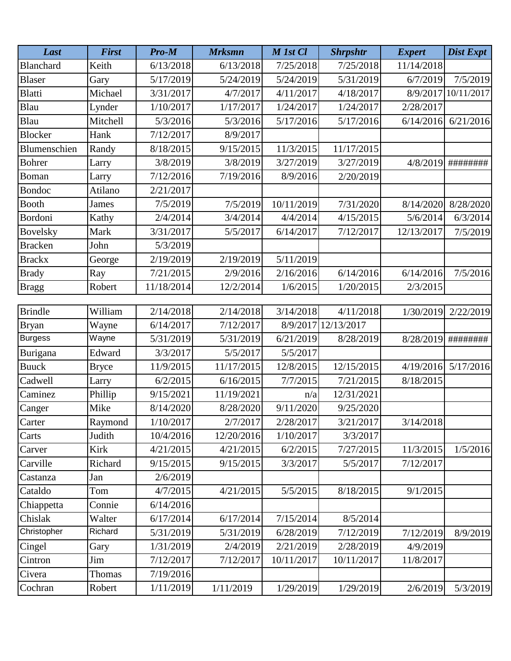| Last            | <b>First</b> | Pro-M      | <b>Mrksmn</b> | M 1st Cl   | <b>Shrpshtr</b> | <b>Expert</b> | Dist Expt  |
|-----------------|--------------|------------|---------------|------------|-----------------|---------------|------------|
| Blanchard       | Keith        | 6/13/2018  | 6/13/2018     | 7/25/2018  | 7/25/2018       | 11/14/2018    |            |
| <b>Blaser</b>   | Gary         | 5/17/2019  | 5/24/2019     | 5/24/2019  | 5/31/2019       | 6/7/2019      | 7/5/2019   |
| <b>Blatti</b>   | Michael      | 3/31/2017  | 4/7/2017      | 4/11/2017  | 4/18/2017       | 8/9/2017      | 10/11/2017 |
| Blau            | Lynder       | 1/10/2017  | 1/17/2017     | 1/24/2017  | 1/24/2017       | 2/28/2017     |            |
| Blau            | Mitchell     | 5/3/2016   | 5/3/2016      | 5/17/2016  | 5/17/2016       | 6/14/2016     | 6/21/2016  |
| <b>Blocker</b>  | Hank         | 7/12/2017  | 8/9/2017      |            |                 |               |            |
| Blumenschien    | Randy        | 8/18/2015  | 9/15/2015     | 11/3/2015  | 11/17/2015      |               |            |
| <b>Bohrer</b>   | Larry        | 3/8/2019   | 3/8/2019      | 3/27/2019  | 3/27/2019       | 4/8/2019      | ########   |
| Boman           | Larry        | 7/12/2016  | 7/19/2016     | 8/9/2016   | 2/20/2019       |               |            |
| Bondoc          | Atilano      | 2/21/2017  |               |            |                 |               |            |
| <b>Booth</b>    | James        | 7/5/2019   | 7/5/2019      | 10/11/2019 | 7/31/2020       | 8/14/2020     | 8/28/2020  |
| Bordoni         | Kathy        | 2/4/2014   | 3/4/2014      | 4/4/2014   | 4/15/2015       | 5/6/2014      | 6/3/2014   |
| <b>Bovelsky</b> | Mark         | 3/31/2017  | 5/5/2017      | 6/14/2017  | 7/12/2017       | 12/13/2017    | 7/5/2019   |
| <b>Bracken</b>  | John         | 5/3/2019   |               |            |                 |               |            |
| <b>Brackx</b>   | George       | 2/19/2019  | 2/19/2019     | 5/11/2019  |                 |               |            |
| <b>Brady</b>    | Ray          | 7/21/2015  | 2/9/2016      | 2/16/2016  | 6/14/2016       | 6/14/2016     | 7/5/2016   |
| <b>Bragg</b>    | Robert       | 11/18/2014 | 12/2/2014     | 1/6/2015   | 1/20/2015       | 2/3/2015      |            |
|                 |              |            |               |            |                 |               |            |
| <b>Brindle</b>  | William      | 2/14/2018  | 2/14/2018     | 3/14/2018  | 4/11/2018       | 1/30/2019     | 2/22/2019  |
| <b>Bryan</b>    | Wayne        | 6/14/2017  | 7/12/2017     | 8/9/2017   | 12/13/2017      |               |            |
| <b>Burgess</b>  | Wayne        | 5/31/2019  | 5/31/2019     | 6/21/2019  | 8/28/2019       | 8/28/2019     | ########   |
| Burigana        | Edward       | 3/3/2017   | 5/5/2017      | 5/5/2017   |                 |               |            |
| <b>Buuck</b>    | <b>Bryce</b> | 11/9/2015  | 11/17/2015    | 12/8/2015  | 12/15/2015      | 4/19/2016     | 5/17/2016  |
| Cadwell         | Larry        | 6/2/2015   | 6/16/2015     | 7/7/2015   | 7/21/2015       | 8/18/2015     |            |
| Caminez         | Phillip      | 9/15/2021  | 11/19/2021    | n/a        | 12/31/2021      |               |            |
| Canger          | Mike         | 8/14/2020  | 8/28/2020     | 9/11/2020  | 9/25/2020       |               |            |
| Carter          | Raymond      | 1/10/2017  | 2/7/2017      | 2/28/2017  | 3/21/2017       | 3/14/2018     |            |
| Carts           | Judith       | 10/4/2016  | 12/20/2016    | 1/10/2017  | 3/3/2017        |               |            |
| Carver          | Kirk         | 4/21/2015  | 4/21/2015     | 6/2/2015   | 7/27/2015       | 11/3/2015     | 1/5/2016   |
| Carville        | Richard      | 9/15/2015  | 9/15/2015     | 3/3/2017   | 5/5/2017        | 7/12/2017     |            |
| Castanza        | Jan          | 2/6/2019   |               |            |                 |               |            |
| Cataldo         | Tom          | 4/7/2015   | 4/21/2015     | 5/5/2015   | 8/18/2015       | 9/1/2015      |            |
| Chiappetta      | Connie       | 6/14/2016  |               |            |                 |               |            |
| Chislak         | Walter       | 6/17/2014  | 6/17/2014     | 7/15/2014  | 8/5/2014        |               |            |
| Christopher     | Richard      | 5/31/2019  | 5/31/2019     | 6/28/2019  | 7/12/2019       | 7/12/2019     | 8/9/2019   |
| Cingel          | Gary         | 1/31/2019  | 2/4/2019      | 2/21/2019  | 2/28/2019       | 4/9/2019      |            |
| Cintron         | Jim          | 7/12/2017  | 7/12/2017     | 10/11/2017 | 10/11/2017      | 11/8/2017     |            |
| Civera          | Thomas       | 7/19/2016  |               |            |                 |               |            |
| Cochran         | Robert       | 1/11/2019  | 1/11/2019     | 1/29/2019  | 1/29/2019       | 2/6/2019      | 5/3/2019   |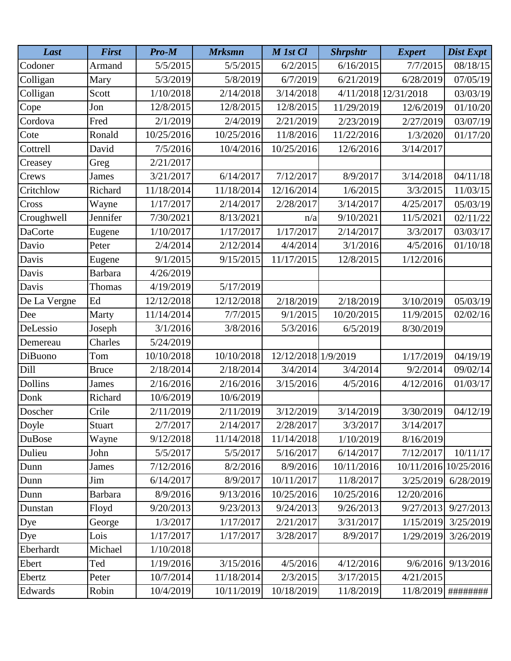| Last           | <b>First</b>   | Pro-M      | <b>Mrksmn</b> | M 1st Cl            | <b>Shrpshtr</b> | <b>Expert</b>        | <b>Dist Expt</b> |
|----------------|----------------|------------|---------------|---------------------|-----------------|----------------------|------------------|
| Codoner        | Armand         | 5/5/2015   | 5/5/2015      | 6/2/2015            | 6/16/2015       | 7/7/2015             | 08/18/15         |
| Colligan       | Mary           | 5/3/2019   | 5/8/2019      | 6/7/2019            | 6/21/2019       | 6/28/2019            | 07/05/19         |
| Colligan       | Scott          | 1/10/2018  | 2/14/2018     | 3/14/2018           |                 | 4/11/2018 12/31/2018 | 03/03/19         |
| Cope           | ${\rm Jon}$    | 12/8/2015  | 12/8/2015     | 12/8/2015           | 11/29/2019      | 12/6/2019            | 01/10/20         |
| Cordova        | Fred           | 2/1/2019   | 2/4/2019      | 2/21/2019           | 2/23/2019       | 2/27/2019            | 03/07/19         |
| Cote           | Ronald         | 10/25/2016 | 10/25/2016    | 11/8/2016           | 11/22/2016      | 1/3/2020             | 01/17/20         |
| Cottrell       | David          | 7/5/2016   | 10/4/2016     | 10/25/2016          | 12/6/2016       | 3/14/2017            |                  |
| Creasey        | Greg           | 2/21/2017  |               |                     |                 |                      |                  |
| Crews          | <b>James</b>   | 3/21/2017  | 6/14/2017     | 7/12/2017           | 8/9/2017        | 3/14/2018            | 04/11/18         |
| Critchlow      | Richard        | 11/18/2014 | 11/18/2014    | 12/16/2014          | 1/6/2015        | 3/3/2015             | 11/03/15         |
| Cross          | Wayne          | 1/17/2017  | 2/14/2017     | 2/28/2017           | 3/14/2017       | 4/25/2017            | 05/03/19         |
| Croughwell     | Jennifer       | 7/30/2021  | 8/13/2021     | n/a                 | 9/10/2021       | 11/5/2021            | 02/11/22         |
| <b>DaCorte</b> | Eugene         | 1/10/2017  | 1/17/2017     | 1/17/2017           | 2/14/2017       | 3/3/2017             | 03/03/17         |
| Davio          | Peter          | 2/4/2014   | 2/12/2014     | 4/4/2014            | 3/1/2016        | 4/5/2016             | 01/10/18         |
| Davis          | Eugene         | 9/1/2015   | 9/15/2015     | 11/17/2015          | 12/8/2015       | 1/12/2016            |                  |
| Davis          | <b>Barbara</b> | 4/26/2019  |               |                     |                 |                      |                  |
| Davis          | Thomas         | 4/19/2019  | 5/17/2019     |                     |                 |                      |                  |
| De La Vergne   | Ed             | 12/12/2018 | 12/12/2018    | 2/18/2019           | 2/18/2019       | 3/10/2019            | 05/03/19         |
| Dee            | Marty          | 11/14/2014 | 7/7/2015      | 9/1/2015            | 10/20/2015      | 11/9/2015            | 02/02/16         |
| DeLessio       | Joseph         | 3/1/2016   | 3/8/2016      | 5/3/2016            | 6/5/2019        | 8/30/2019            |                  |
| Demereau       | Charles        | 5/24/2019  |               |                     |                 |                      |                  |
| DiBuono        | Tom            | 10/10/2018 | 10/10/2018    | 12/12/2018 1/9/2019 |                 | 1/17/2019            | 04/19/19         |
| Dill           | <b>Bruce</b>   | 2/18/2014  | 2/18/2014     | 3/4/2014            | 3/4/2014        | 9/2/2014             | 09/02/14         |
| <b>Dollins</b> | James          | 2/16/2016  | 2/16/2016     | 3/15/2016           | 4/5/2016        | 4/12/2016            | 01/03/17         |
| Donk           | Richard        | 10/6/2019  | 10/6/2019     |                     |                 |                      |                  |
| Doscher        | Crile          | 2/11/2019  | 2/11/2019     | 3/12/2019           | 3/14/2019       | 3/30/2019            | 04/12/19         |
| Doyle          | Stuart         | 2/7/2017   | 2/14/2017     | 2/28/2017           | 3/3/2017        | 3/14/2017            |                  |
| <b>DuBose</b>  | Wayne          | 9/12/2018  | 11/14/2018    | 11/14/2018          | 1/10/2019       | 8/16/2019            |                  |
| Dulieu         | John           | 5/5/2017   | 5/5/2017      | 5/16/2017           | 6/14/2017       | 7/12/2017            | 10/11/17         |
| Dunn           | <b>James</b>   | 7/12/2016  | 8/2/2016      | 8/9/2016            | 10/11/2016      | 10/11/2016           | 10/25/2016       |
| Dunn           | Jim            | 6/14/2017  | 8/9/2017      | 10/11/2017          | 11/8/2017       | 3/25/2019            | 6/28/2019        |
| Dunn           | <b>Barbara</b> | 8/9/2016   | 9/13/2016     | 10/25/2016          | 10/25/2016      | 12/20/2016           |                  |
| Dunstan        | Floyd          | 9/20/2013  | 9/23/2013     | 9/24/2013           | 9/26/2013       | 9/27/2013            | 9/27/2013        |
| Dye            | George         | 1/3/2017   | 1/17/2017     | 2/21/2017           | 3/31/2017       | 1/15/2019            | 3/25/2019        |
| Dye            | Lois           | 1/17/2017  | 1/17/2017     | 3/28/2017           | 8/9/2017        | 1/29/2019            | 3/26/2019        |
| Eberhardt      | Michael        | 1/10/2018  |               |                     |                 |                      |                  |
| Ebert          | Ted            | 1/19/2016  | 3/15/2016     | 4/5/2016            | 4/12/2016       | 9/6/2016             | 9/13/2016        |
| Ebertz         | Peter          | 10/7/2014  | 11/18/2014    | 2/3/2015            | 3/17/2015       | 4/21/2015            |                  |
| Edwards        | Robin          | 10/4/2019  | 10/11/2019    | 10/18/2019          | 11/8/2019       | 11/8/2019            | ########         |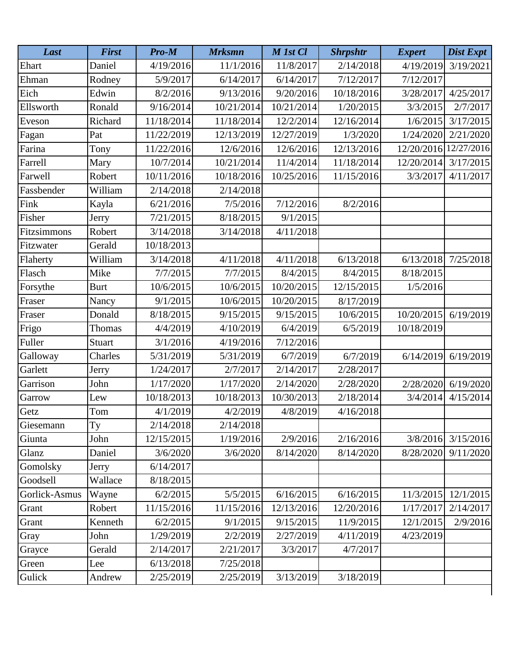| Last          | <b>First</b> | Pro-M      | <b>Mrksmn</b> | M 1st Cl   | <b>Shrpshtr</b> | <b>Expert</b>         | <b>Dist Expt</b> |
|---------------|--------------|------------|---------------|------------|-----------------|-----------------------|------------------|
| Ehart         | Daniel       | 4/19/2016  | 11/1/2016     | 11/8/2017  | 2/14/2018       | 4/19/2019             | 3/19/2021        |
| Ehman         | Rodney       | 5/9/2017   | 6/14/2017     | 6/14/2017  | 7/12/2017       | 7/12/2017             |                  |
| Eich          | Edwin        | 8/2/2016   | 9/13/2016     | 9/20/2016  | 10/18/2016      | 3/28/2017             | 4/25/2017        |
| Ellsworth     | Ronald       | 9/16/2014  | 10/21/2014    | 10/21/2014 | 1/20/2015       | 3/3/2015              | 2/7/2017         |
| Eveson        | Richard      | 11/18/2014 | 11/18/2014    | 12/2/2014  | 12/16/2014      | 1/6/2015              | 3/17/2015        |
| Fagan         | Pat          | 11/22/2019 | 12/13/2019    | 12/27/2019 | 1/3/2020        | 1/24/2020             | 2/21/2020        |
| Farina        | Tony         | 11/22/2016 | 12/6/2016     | 12/6/2016  | 12/13/2016      | 12/20/2016 12/27/2016 |                  |
| Farrell       | Mary         | 10/7/2014  | 10/21/2014    | 11/4/2014  | 11/18/2014      | 12/20/2014            | 3/17/2015        |
| Farwell       | Robert       | 10/11/2016 | 10/18/2016    | 10/25/2016 | 11/15/2016      | 3/3/2017              | 4/11/2017        |
| Fassbender    | William      | 2/14/2018  | 2/14/2018     |            |                 |                       |                  |
| Fink          | Kayla        | 6/21/2016  | 7/5/2016      | 7/12/2016  | 8/2/2016        |                       |                  |
| Fisher        | Jerry        | 7/21/2015  | 8/18/2015     | 9/1/2015   |                 |                       |                  |
| Fitzsimmons   | Robert       | 3/14/2018  | 3/14/2018     | 4/11/2018  |                 |                       |                  |
| Fitzwater     | Gerald       | 10/18/2013 |               |            |                 |                       |                  |
| Flaherty      | William      | 3/14/2018  | 4/11/2018     | 4/11/2018  | 6/13/2018       | 6/13/2018             | 7/25/2018        |
| Flasch        | Mike         | 7/7/2015   | 7/7/2015      | 8/4/2015   | 8/4/2015        | 8/18/2015             |                  |
| Forsythe      | <b>Burt</b>  | 10/6/2015  | 10/6/2015     | 10/20/2015 | 12/15/2015      | 1/5/2016              |                  |
| Fraser        | Nancy        | 9/1/2015   | 10/6/2015     | 10/20/2015 | 8/17/2019       |                       |                  |
| Fraser        | Donald       | 8/18/2015  | 9/15/2015     | 9/15/2015  | 10/6/2015       | 10/20/2015            | 6/19/2019        |
| Frigo         | Thomas       | 4/4/2019   | 4/10/2019     | 6/4/2019   | 6/5/2019        | 10/18/2019            |                  |
| Fuller        | Stuart       | 3/1/2016   | 4/19/2016     | 7/12/2016  |                 |                       |                  |
| Galloway      | Charles      | 5/31/2019  | 5/31/2019     | 6/7/2019   | 6/7/2019        | 6/14/2019             | 6/19/2019        |
| Garlett       | Jerry        | 1/24/2017  | 2/7/2017      | 2/14/2017  | 2/28/2017       |                       |                  |
| Garrison      | John         | 1/17/2020  | 1/17/2020     | 2/14/2020  | 2/28/2020       | 2/28/2020             | 6/19/2020        |
| Garrow        | Lew          | 10/18/2013 | 10/18/2013    | 10/30/2013 | 2/18/2014       | 3/4/2014              | 4/15/2014        |
| Getz          | Tom          | 4/1/2019   | 4/2/2019      | 4/8/2019   | 4/16/2018       |                       |                  |
| Giesemann     | Ty           | 2/14/2018  | 2/14/2018     |            |                 |                       |                  |
| Giunta        | John         | 12/15/2015 | 1/19/2016     | 2/9/2016   | 2/16/2016       | 3/8/2016              | 3/15/2016        |
| Glanz         | Daniel       | 3/6/2020   | 3/6/2020      | 8/14/2020  | 8/14/2020       | 8/28/2020             | 9/11/2020        |
| Gomolsky      | Jerry        | 6/14/2017  |               |            |                 |                       |                  |
| Goodsell      | Wallace      | 8/18/2015  |               |            |                 |                       |                  |
| Gorlick-Asmus | Wayne        | 6/2/2015   | 5/5/2015      | 6/16/2015  | 6/16/2015       | 11/3/2015             | 12/1/2015        |
| Grant         | Robert       | 11/15/2016 | 11/15/2016    | 12/13/2016 | 12/20/2016      | 1/17/2017             | 2/14/2017        |
| Grant         | Kenneth      | 6/2/2015   | 9/1/2015      | 9/15/2015  | 11/9/2015       | 12/1/2015             | 2/9/2016         |
| Gray          | John         | 1/29/2019  | 2/2/2019      | 2/27/2019  | 4/11/2019       | 4/23/2019             |                  |
| Grayce        | Gerald       | 2/14/2017  | 2/21/2017     | 3/3/2017   | 4/7/2017        |                       |                  |
| Green         | Lee          | 6/13/2018  | 7/25/2018     |            |                 |                       |                  |
| Gulick        | Andrew       | 2/25/2019  | 2/25/2019     | 3/13/2019  | 3/18/2019       |                       |                  |
|               |              |            |               |            |                 |                       |                  |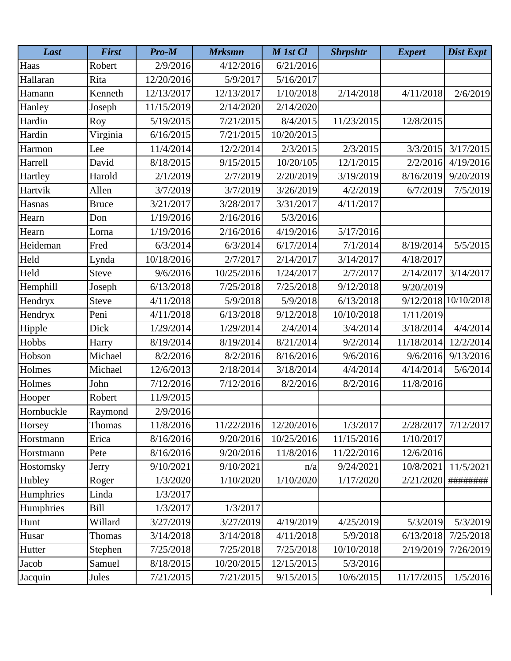| Last       | <b>First</b> | Pro-M      | <b>Mrksmn</b> | M 1st Cl   | <b>Shrpshtr</b> | <b>Expert</b> | <b>Dist Expt</b>     |
|------------|--------------|------------|---------------|------------|-----------------|---------------|----------------------|
| Haas       | Robert       | 2/9/2016   | 4/12/2016     | 6/21/2016  |                 |               |                      |
| Hallaran   | Rita         | 12/20/2016 | 5/9/2017      | 5/16/2017  |                 |               |                      |
| Hamann     | Kenneth      | 12/13/2017 | 12/13/2017    | 1/10/2018  | 2/14/2018       | 4/11/2018     | 2/6/2019             |
| Hanley     | Joseph       | 11/15/2019 | 2/14/2020     | 2/14/2020  |                 |               |                      |
| Hardin     | Roy          | 5/19/2015  | 7/21/2015     | 8/4/2015   | 11/23/2015      | 12/8/2015     |                      |
| Hardin     | Virginia     | 6/16/2015  | 7/21/2015     | 10/20/2015 |                 |               |                      |
| Harmon     | Lee          | 11/4/2014  | 12/2/2014     | 2/3/2015   | 2/3/2015        | 3/3/2015      | 3/17/2015            |
| Harrell    | David        | 8/18/2015  | 9/15/2015     | 10/20/105  | 12/1/2015       | 2/2/2016      | 4/19/2016            |
| Hartley    | Harold       | 2/1/2019   | 2/7/2019      | 2/20/2019  | 3/19/2019       | 8/16/2019     | 9/20/2019            |
| Hartvik    | Allen        | 3/7/2019   | 3/7/2019      | 3/26/2019  | 4/2/2019        | 6/7/2019      | 7/5/2019             |
| Hasnas     | <b>Bruce</b> | 3/21/2017  | 3/28/2017     | 3/31/2017  | 4/11/2017       |               |                      |
| Hearn      | Don          | 1/19/2016  | 2/16/2016     | 5/3/2016   |                 |               |                      |
| Hearn      | Lorna        | 1/19/2016  | 2/16/2016     | 4/19/2016  | 5/17/2016       |               |                      |
| Heideman   | Fred         | 6/3/2014   | 6/3/2014      | 6/17/2014  | 7/1/2014        | 8/19/2014     | 5/5/2015             |
| Held       | Lynda        | 10/18/2016 | 2/7/2017      | 2/14/2017  | 3/14/2017       | 4/18/2017     |                      |
| Held       | <b>Steve</b> | 9/6/2016   | 10/25/2016    | 1/24/2017  | 2/7/2017        | 2/14/2017     | 3/14/2017            |
| Hemphill   | Joseph       | 6/13/2018  | 7/25/2018     | 7/25/2018  | 9/12/2018       | 9/20/2019     |                      |
| Hendryx    | Steve        | 4/11/2018  | 5/9/2018      | 5/9/2018   | 6/13/2018       |               | 9/12/2018 10/10/2018 |
| Hendryx    | Peni         | 4/11/2018  | 6/13/2018     | 9/12/2018  | 10/10/2018      | 1/11/2019     |                      |
| Hipple     | Dick         | 1/29/2014  | 1/29/2014     | 2/4/2014   | 3/4/2014        | 3/18/2014     | 4/4/2014             |
| Hobbs      | Harry        | 8/19/2014  | 8/19/2014     | 8/21/2014  | 9/2/2014        | 11/18/2014    | 12/2/2014            |
| Hobson     | Michael      | 8/2/2016   | 8/2/2016      | 8/16/2016  | 9/6/2016        | 9/6/2016      | 9/13/2016            |
| Holmes     | Michael      | 12/6/2013  | 2/18/2014     | 3/18/2014  | 4/4/2014        | 4/14/2014     | 5/6/2014             |
| Holmes     | John         | 7/12/2016  | 7/12/2016     | 8/2/2016   | 8/2/2016        | 11/8/2016     |                      |
| Hooper     | Robert       | 11/9/2015  |               |            |                 |               |                      |
| Hornbuckle | Raymond      | 2/9/2016   |               |            |                 |               |                      |
| Horsey     | Thomas       | 11/8/2016  | 11/22/2016    | 12/20/2016 | 1/3/2017        | 2/28/2017     | 7/12/2017            |
| Horstmann  | Erica        | 8/16/2016  | 9/20/2016     | 10/25/2016 | 11/15/2016      | 1/10/2017     |                      |
| Horstmann  | Pete         | 8/16/2016  | 9/20/2016     | 11/8/2016  | 11/22/2016      | 12/6/2016     |                      |
| Hostomsky  | Jerry        | 9/10/2021  | 9/10/2021     | n/a        | 9/24/2021       | 10/8/2021     | 11/5/2021            |
| Hubley     | Roger        | 1/3/2020   | 1/10/2020     | 1/10/2020  | 1/17/2020       | 2/21/2020     | #########            |
| Humphries  | Linda        | 1/3/2017   |               |            |                 |               |                      |
| Humphries  | Bill         | 1/3/2017   | 1/3/2017      |            |                 |               |                      |
| Hunt       | Willard      | 3/27/2019  | 3/27/2019     | 4/19/2019  | 4/25/2019       | 5/3/2019      | 5/3/2019             |
| Husar      | Thomas       | 3/14/2018  | 3/14/2018     | 4/11/2018  | 5/9/2018        | 6/13/2018     | 7/25/2018            |
| Hutter     | Stephen      | 7/25/2018  | 7/25/2018     | 7/25/2018  | 10/10/2018      | 2/19/2019     | 7/26/2019            |
| Jacob      | Samuel       | 8/18/2015  | 10/20/2015    | 12/15/2015 | 5/3/2016        |               |                      |
| Jacquin    | Jules        | 7/21/2015  | 7/21/2015     | 9/15/2015  | 10/6/2015       | 11/17/2015    | 1/5/2016             |
|            |              |            |               |            |                 |               |                      |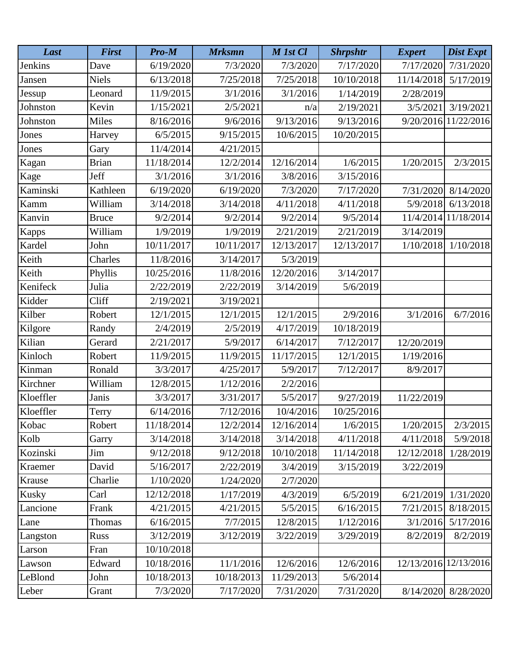| Last         | <b>First</b> | Pro-M      | <b>Mrksmn</b> | M 1st Cl   | <b>Shrpshtr</b> | <b>Expert</b>         | Dist Expt            |
|--------------|--------------|------------|---------------|------------|-----------------|-----------------------|----------------------|
| Jenkins      | Dave         | 6/19/2020  | 7/3/2020      | 7/3/2020   | 7/17/2020       | 7/17/2020             | 7/31/2020            |
| Jansen       | <b>Niels</b> | 6/13/2018  | 7/25/2018     | 7/25/2018  | 10/10/2018      | 11/14/2018            | 5/17/2019            |
| Jessup       | Leonard      | 11/9/2015  | 3/1/2016      | 3/1/2016   | 1/14/2019       | 2/28/2019             |                      |
| Johnston     | Kevin        | 1/15/2021  | 2/5/2021      | n/a        | 2/19/2021       | 3/5/2021              | 3/19/2021            |
| Johnston     | <b>Miles</b> | 8/16/2016  | 9/6/2016      | 9/13/2016  | 9/13/2016       | 9/20/2016             | 11/22/2016           |
| Jones        | Harvey       | 6/5/2015   | 9/15/2015     | 10/6/2015  | 10/20/2015      |                       |                      |
| Jones        | Gary         | 11/4/2014  | 4/21/2015     |            |                 |                       |                      |
| Kagan        | <b>Brian</b> | 11/18/2014 | 12/2/2014     | 12/16/2014 | 1/6/2015        | 1/20/2015             | 2/3/2015             |
| Kage         | Jeff         | 3/1/2016   | 3/1/2016      | 3/8/2016   | 3/15/2016       |                       |                      |
| Kaminski     | Kathleen     | 6/19/2020  | 6/19/2020     | 7/3/2020   | 7/17/2020       | 7/31/2020             | 8/14/2020            |
| Kamm         | William      | 3/14/2018  | 3/14/2018     | 4/11/2018  | 4/11/2018       | 5/9/2018              | 6/13/2018            |
| Kanvin       | <b>Bruce</b> | 9/2/2014   | 9/2/2014      | 9/2/2014   | 9/5/2014        |                       | 11/4/2014 11/18/2014 |
| <b>Kapps</b> | William      | 1/9/2019   | 1/9/2019      | 2/21/2019  | 2/21/2019       | 3/14/2019             |                      |
| Kardel       | John         | 10/11/2017 | 10/11/2017    | 12/13/2017 | 12/13/2017      | 1/10/2018             | 1/10/2018            |
| Keith        | Charles      | 11/8/2016  | 3/14/2017     | 5/3/2019   |                 |                       |                      |
| Keith        | Phyllis      | 10/25/2016 | 11/8/2016     | 12/20/2016 | 3/14/2017       |                       |                      |
| Kenifeck     | Julia        | 2/22/2019  | 2/22/2019     | 3/14/2019  | 5/6/2019        |                       |                      |
| Kidder       | Cliff        | 2/19/2021  | 3/19/2021     |            |                 |                       |                      |
| Kilber       | Robert       | 12/1/2015  | 12/1/2015     | 12/1/2015  | 2/9/2016        | 3/1/2016              | 6/7/2016             |
| Kilgore      | Randy        | 2/4/2019   | 2/5/2019      | 4/17/2019  | 10/18/2019      |                       |                      |
| Kilian       | Gerard       | 2/21/2017  | 5/9/2017      | 6/14/2017  | 7/12/2017       | 12/20/2019            |                      |
| Kinloch      | Robert       | 11/9/2015  | 11/9/2015     | 11/17/2015 | 12/1/2015       | 1/19/2016             |                      |
| Kinman       | Ronald       | 3/3/2017   | 4/25/2017     | 5/9/2017   | 7/12/2017       | 8/9/2017              |                      |
| Kirchner     | William      | 12/8/2015  | 1/12/2016     | 2/2/2016   |                 |                       |                      |
| Kloeffler    | Janis        | 3/3/2017   | 3/31/2017     | 5/5/2017   | 9/27/2019       | 11/22/2019            |                      |
| Kloeffler    | Terry        | 6/14/2016  | 7/12/2016     | 10/4/2016  | 10/25/2016      |                       |                      |
| Kobac        | Robert       | 11/18/2014 | 12/2/2014     | 12/16/2014 | 1/6/2015        | 1/20/2015             | 2/3/2015             |
| Kolb         | Garry        | 3/14/2018  | 3/14/2018     | 3/14/2018  | 4/11/2018       | 4/11/2018             | 5/9/2018             |
| Kozinski     | Jim          | 9/12/2018  | 9/12/2018     | 10/10/2018 | 11/14/2018      | 12/12/2018            | 1/28/2019            |
| Kraemer      | David        | 5/16/2017  | 2/22/2019     | 3/4/2019   | 3/15/2019       | 3/22/2019             |                      |
| Krause       | Charlie      | 1/10/2020  | 1/24/2020     | 2/7/2020   |                 |                       |                      |
| <b>Kusky</b> | Carl         | 12/12/2018 | 1/17/2019     | 4/3/2019   | 6/5/2019        | 6/21/2019             | 1/31/2020            |
| Lancione     | Frank        | 4/21/2015  | 4/21/2015     | 5/5/2015   | 6/16/2015       | 7/21/2015             | 8/18/2015            |
| Lane         | Thomas       | 6/16/2015  | 7/7/2015      | 12/8/2015  | 1/12/2016       | 3/1/2016              | 5/17/2016            |
| Langston     | <b>Russ</b>  | 3/12/2019  | 3/12/2019     | 3/22/2019  | 3/29/2019       | 8/2/2019              | 8/2/2019             |
| Larson       | Fran         | 10/10/2018 |               |            |                 |                       |                      |
| Lawson       | Edward       | 10/18/2016 | 11/1/2016     | 12/6/2016  | 12/6/2016       | 12/13/2016 12/13/2016 |                      |
| LeBlond      | John         | 10/18/2013 | 10/18/2013    | 11/29/2013 | 5/6/2014        |                       |                      |
| Leber        | Grant        | 7/3/2020   | 7/17/2020     | 7/31/2020  | 7/31/2020       | 8/14/2020             | 8/28/2020            |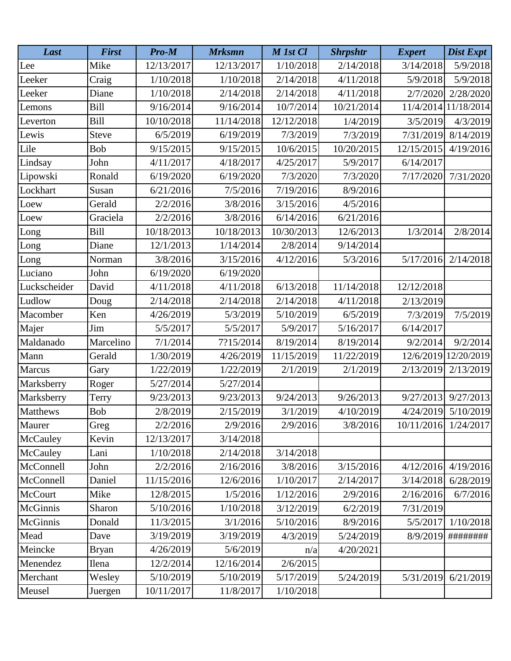| Last            | <b>First</b> | Pro-M      | <b>Mrksmn</b> | M 1st Cl   | <b>Shrpshtr</b> | <b>Expert</b>        | Dist Expt            |
|-----------------|--------------|------------|---------------|------------|-----------------|----------------------|----------------------|
| Lee             | Mike         | 12/13/2017 | 12/13/2017    | 1/10/2018  | 2/14/2018       | 3/14/2018            | 5/9/2018             |
| Leeker          | Craig        | 1/10/2018  | 1/10/2018     | 2/14/2018  | 4/11/2018       | 5/9/2018             | 5/9/2018             |
| Leeker          | Diane        | 1/10/2018  | 2/14/2018     | 2/14/2018  | 4/11/2018       | 2/7/2020             | 2/28/2020            |
| Lemons          | Bill         | 9/16/2014  | 9/16/2014     | 10/7/2014  | 10/21/2014      |                      | 11/4/2014 11/18/2014 |
| Leverton        | <b>Bill</b>  | 10/10/2018 | 11/14/2018    | 12/12/2018 | 1/4/2019        | 3/5/2019             | 4/3/2019             |
| Lewis           | <b>Steve</b> | 6/5/2019   | 6/19/2019     | 7/3/2019   | 7/3/2019        | 7/31/2019            | 8/14/2019            |
| Lile            | Bob          | 9/15/2015  | 9/15/2015     | 10/6/2015  | 10/20/2015      | 12/15/2015           | 4/19/2016            |
| Lindsay         | John         | 4/11/2017  | 4/18/2017     | 4/25/2017  | 5/9/2017        | 6/14/2017            |                      |
| Lipowski        | Ronald       | 6/19/2020  | 6/19/2020     | 7/3/2020   | 7/3/2020        | 7/17/2020            | 7/31/2020            |
| Lockhart        | Susan        | 6/21/2016  | 7/5/2016      | 7/19/2016  | 8/9/2016        |                      |                      |
| Loew            | Gerald       | 2/2/2016   | 3/8/2016      | 3/15/2016  | 4/5/2016        |                      |                      |
| Loew            | Graciela     | 2/2/2016   | 3/8/2016      | 6/14/2016  | 6/21/2016       |                      |                      |
| Long            | <b>Bill</b>  | 10/18/2013 | 10/18/2013    | 10/30/2013 | 12/6/2013       | 1/3/2014             | 2/8/2014             |
| Long            | Diane        | 12/1/2013  | 1/14/2014     | 2/8/2014   | 9/14/2014       |                      |                      |
| Long            | Norman       | 3/8/2016   | 3/15/2016     | 4/12/2016  | 5/3/2016        | 5/17/2016            | 2/14/2018            |
| Luciano         | John         | 6/19/2020  | 6/19/2020     |            |                 |                      |                      |
| Luckscheider    | David        | 4/11/2018  | 4/11/2018     | 6/13/2018  | 11/14/2018      | 12/12/2018           |                      |
| Ludlow          | Doug         | 2/14/2018  | 2/14/2018     | 2/14/2018  | 4/11/2018       | 2/13/2019            |                      |
| Macomber        | Ken          | 4/26/2019  | 5/3/2019      | 5/10/2019  | 6/5/2019        | 7/3/2019             | 7/5/2019             |
| Majer           | Jim          | 5/5/2017   | 5/5/2017      | 5/9/2017   | 5/16/2017       | 6/14/2017            |                      |
| Maldanado       | Marcelino    | 7/1/2014   | 7?15/2014     | 8/19/2014  | 8/19/2014       | 9/2/2014             | 9/2/2014             |
| Mann            | Gerald       | 1/30/2019  | 4/26/2019     | 11/15/2019 | 11/22/2019      |                      | 12/6/2019 12/20/2019 |
| Marcus          | Gary         | 1/22/2019  | 1/22/2019     | 2/1/2019   | 2/1/2019        | 2/13/2019            | 2/13/2019            |
| Marksberry      | Roger        | 5/27/2014  | 5/27/2014     |            |                 |                      |                      |
| Marksberry      | Terry        | 9/23/2013  | 9/23/2013     | 9/24/2013  | 9/26/2013       | 9/27/2013            | 9/27/2013            |
| <b>Matthews</b> | Bob          | 2/8/2019   | 2/15/2019     | 3/1/2019   | 4/10/2019       | 4/24/2019            | 5/10/2019            |
| Maurer          | Greg         | 2/2/2016   | 2/9/2016      | 2/9/2016   | 3/8/2016        | 10/11/2016 1/24/2017 |                      |
| McCauley        | Kevin        | 12/13/2017 | 3/14/2018     |            |                 |                      |                      |
| McCauley        | Lani         | 1/10/2018  | 2/14/2018     | 3/14/2018  |                 |                      |                      |
| McConnell       | John         | 2/2/2016   | 2/16/2016     | 3/8/2016   | 3/15/2016       | 4/12/2016            | 4/19/2016            |
| McConnell       | Daniel       | 11/15/2016 | 12/6/2016     | 1/10/2017  | 2/14/2017       | 3/14/2018            | 6/28/2019            |
| <b>McCourt</b>  | Mike         | 12/8/2015  | 1/5/2016      | 1/12/2016  | 2/9/2016        | 2/16/2016            | 6/7/2016             |
| McGinnis        | Sharon       | 5/10/2016  | 1/10/2018     | 3/12/2019  | 6/2/2019        | 7/31/2019            |                      |
| <b>McGinnis</b> | Donald       | 11/3/2015  | 3/1/2016      | 5/10/2016  | 8/9/2016        | 5/5/2017             | 1/10/2018            |
| Mead            | Dave         | 3/19/2019  | 3/19/2019     | 4/3/2019   | 5/24/2019       | 8/9/2019             | ########             |
| Meincke         | <b>Bryan</b> | 4/26/2019  | 5/6/2019      | n/a        | 4/20/2021       |                      |                      |
| Menendez        | Ilena        | 12/2/2014  | 12/16/2014    | 2/6/2015   |                 |                      |                      |
| Merchant        | Wesley       | 5/10/2019  | 5/10/2019     | 5/17/2019  | 5/24/2019       | 5/31/2019            | 6/21/2019            |
| Meusel          | Juergen      | 10/11/2017 | 11/8/2017     | 1/10/2018  |                 |                      |                      |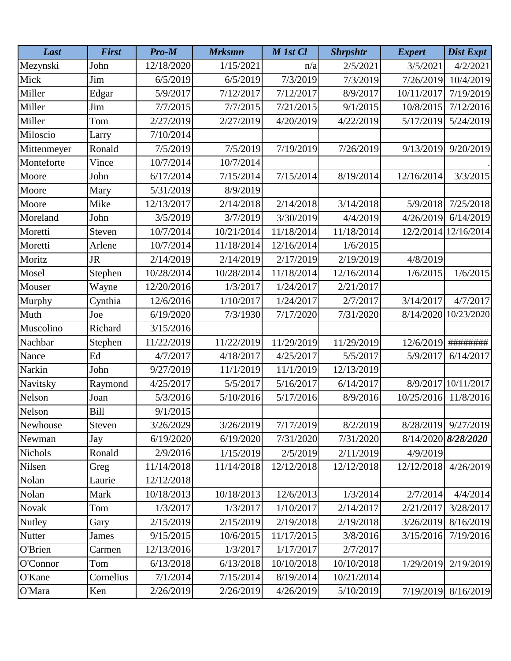| Last          | <b>First</b> | Pro-M      | <b>Mrksmn</b> | M 1st Cl   | <b>Shrpshtr</b> | <b>Expert</b> | Dist Expt           |
|---------------|--------------|------------|---------------|------------|-----------------|---------------|---------------------|
| Mezynski      | John         | 12/18/2020 | 1/15/2021     | n/a        | 2/5/2021        | 3/5/2021      | 4/2/2021            |
| Mick          | Jim          | 6/5/2019   | 6/5/2019      | 7/3/2019   | 7/3/2019        | 7/26/2019     | 10/4/2019           |
| Miller        | Edgar        | 5/9/2017   | 7/12/2017     | 7/12/2017  | 8/9/2017        | 10/11/2017    | 7/19/2019           |
| Miller        | Jim          | 7/7/2015   | 7/7/2015      | 7/21/2015  | 9/1/2015        | 10/8/2015     | 7/12/2016           |
| Miller        | Tom          | 2/27/2019  | 2/27/2019     | 4/20/2019  | 4/22/2019       | 5/17/2019     | 5/24/2019           |
| Miloscio      | Larry        | 7/10/2014  |               |            |                 |               |                     |
| Mittenmeyer   | Ronald       | 7/5/2019   | 7/5/2019      | 7/19/2019  | 7/26/2019       | 9/13/2019     | 9/20/2019           |
| Monteforte    | Vince        | 10/7/2014  | 10/7/2014     |            |                 |               |                     |
| Moore         | John         | 6/17/2014  | 7/15/2014     | 7/15/2014  | 8/19/2014       | 12/16/2014    | 3/3/2015            |
| Moore         | Mary         | 5/31/2019  | 8/9/2019      |            |                 |               |                     |
| Moore         | Mike         | 12/13/2017 | 2/14/2018     | 2/14/2018  | 3/14/2018       | 5/9/2018      | 7/25/2018           |
| Moreland      | John         | 3/5/2019   | 3/7/2019      | 3/30/2019  | 4/4/2019        | 4/26/2019     | 6/14/2019           |
| Moretti       | Steven       | 10/7/2014  | 10/21/2014    | 11/18/2014 | 11/18/2014      | 12/2/2014     | 12/16/2014          |
| Moretti       | Arlene       | 10/7/2014  | 11/18/2014    | 12/16/2014 | 1/6/2015        |               |                     |
| Moritz        | <b>JR</b>    | 2/14/2019  | 2/14/2019     | 2/17/2019  | 2/19/2019       | 4/8/2019      |                     |
| Mosel         | Stephen      | 10/28/2014 | 10/28/2014    | 11/18/2014 | 12/16/2014      | 1/6/2015      | 1/6/2015            |
| Mouser        | Wayne        | 12/20/2016 | 1/3/2017      | 1/24/2017  | 2/21/2017       |               |                     |
| Murphy        | Cynthia      | 12/6/2016  | 1/10/2017     | 1/24/2017  | 2/7/2017        | 3/14/2017     | 4/7/2017            |
| Muth          | Joe          | 6/19/2020  | 7/3/1930      | 7/17/2020  | 7/31/2020       | 8/14/2020     | 10/23/2020          |
| Muscolino     | Richard      | 3/15/2016  |               |            |                 |               |                     |
| Nachbar       | Stephen      | 11/22/2019 | 11/22/2019    | 11/29/2019 | 11/29/2019      | 12/6/2019     | #########           |
| Nance         | Ed           | 4/7/2017   | 4/18/2017     | 4/25/2017  | 5/5/2017        | 5/9/2017      | 6/14/2017           |
| Narkin        | John         | 9/27/2019  | 11/1/2019     | 11/1/2019  | 12/13/2019      |               |                     |
| Navitsky      | Raymond      | 4/25/2017  | 5/5/2017      | 5/16/2017  | 6/14/2017       |               | 8/9/2017 10/11/2017 |
| Nelson        | Joan         | 5/3/2016   | 5/10/2016     | 5/17/2016  | 8/9/2016        | 10/25/2016    | 11/8/2016           |
| Nelson        | Bill         | 9/1/2015   |               |            |                 |               |                     |
| Newhouse      | Steven       | 3/26/2029  | 3/26/2019     | 7/17/2019  | 8/2/2019        |               | 8/28/2019 9/27/2019 |
| Newman        | Jay          | 6/19/2020  | 6/19/2020     | 7/31/2020  | 7/31/2020       |               | 8/14/2020 8/28/2020 |
| Nichols       | Ronald       | 2/9/2016   | 1/15/2019     | 2/5/2019   | 2/11/2019       | 4/9/2019      |                     |
| Nilsen        | Greg         | 11/14/2018 | 11/14/2018    | 12/12/2018 | 12/12/2018      | 12/12/2018    | 4/26/2019           |
| Nolan         | Laurie       | 12/12/2018 |               |            |                 |               |                     |
| Nolan         | Mark         | 10/18/2013 | 10/18/2013    | 12/6/2013  | 1/3/2014        | 2/7/2014      | 4/4/2014            |
| Novak         | Tom          | 1/3/2017   | 1/3/2017      | 1/10/2017  | 2/14/2017       | 2/21/2017     | 3/28/2017           |
| <b>Nutley</b> | Gary         | 2/15/2019  | 2/15/2019     | 2/19/2018  | 2/19/2018       | 3/26/2019     | 8/16/2019           |
| Nutter        | James        | 9/15/2015  | 10/6/2015     | 11/17/2015 | 3/8/2016        | 3/15/2016     | 7/19/2016           |
| O'Brien       | Carmen       | 12/13/2016 | 1/3/2017      | 1/17/2017  | 2/7/2017        |               |                     |
| O'Connor      | Tom          | 6/13/2018  | 6/13/2018     | 10/10/2018 | 10/10/2018      | 1/29/2019     | 2/19/2019           |
| O'Kane        | Cornelius    | 7/1/2014   | 7/15/2014     | 8/19/2014  | 10/21/2014      |               |                     |
| O'Mara        | Ken          | 2/26/2019  | 2/26/2019     | 4/26/2019  | 5/10/2019       | 7/19/2019     | 8/16/2019           |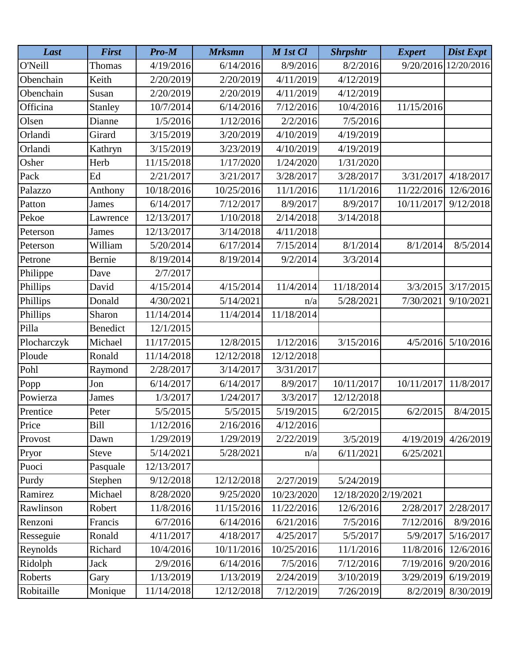| Last        | <b>First</b>    | Pro-M      | <b>Mrksmn</b> | M 1st Cl   | <b>Shrpshtr</b>      | <b>Expert</b> | <b>Dist Expt</b> |
|-------------|-----------------|------------|---------------|------------|----------------------|---------------|------------------|
| O'Neill     | Thomas          | 4/19/2016  | 6/14/2016     | 8/9/2016   | 8/2/2016             | 9/20/2016     | 12/20/2016       |
| Obenchain   | Keith           | 2/20/2019  | 2/20/2019     | 4/11/2019  | 4/12/2019            |               |                  |
| Obenchain   | Susan           | 2/20/2019  | 2/20/2019     | 4/11/2019  | 4/12/2019            |               |                  |
| Officina    | Stanley         | 10/7/2014  | 6/14/2016     | 7/12/2016  | 10/4/2016            | 11/15/2016    |                  |
| Olsen       | Dianne          | 1/5/2016   | 1/12/2016     | 2/2/2016   | 7/5/2016             |               |                  |
| Orlandi     | Girard          | 3/15/2019  | 3/20/2019     | 4/10/2019  | 4/19/2019            |               |                  |
| Orlandi     | Kathryn         | 3/15/2019  | 3/23/2019     | 4/10/2019  | 4/19/2019            |               |                  |
| Osher       | Herb            | 11/15/2018 | 1/17/2020     | 1/24/2020  | 1/31/2020            |               |                  |
| Pack        | Ed              | 2/21/2017  | 3/21/2017     | 3/28/2017  | 3/28/2017            | 3/31/2017     | 4/18/2017        |
| Palazzo     | Anthony         | 10/18/2016 | 10/25/2016    | 11/1/2016  | 11/1/2016            | 11/22/2016    | 12/6/2016        |
| Patton      | <b>James</b>    | 6/14/2017  | 7/12/2017     | 8/9/2017   | 8/9/2017             | 10/11/2017    | 9/12/2018        |
| Pekoe       | Lawrence        | 12/13/2017 | 1/10/2018     | 2/14/2018  | 3/14/2018            |               |                  |
| Peterson    | <b>James</b>    | 12/13/2017 | 3/14/2018     | 4/11/2018  |                      |               |                  |
| Peterson    | William         | 5/20/2014  | 6/17/2014     | 7/15/2014  | 8/1/2014             | 8/1/2014      | 8/5/2014         |
| Petrone     | Bernie          | 8/19/2014  | 8/19/2014     | 9/2/2014   | 3/3/2014             |               |                  |
| Philippe    | Dave            | 2/7/2017   |               |            |                      |               |                  |
| Phillips    | David           | 4/15/2014  | 4/15/2014     | 11/4/2014  | 11/18/2014           | 3/3/2015      | 3/17/2015        |
| Phillips    | Donald          | 4/30/2021  | 5/14/2021     | n/a        | 5/28/2021            | 7/30/2021     | 9/10/2021        |
| Phillips    | Sharon          | 11/14/2014 | 11/4/2014     | 11/18/2014 |                      |               |                  |
| Pilla       | <b>Benedict</b> | 12/1/2015  |               |            |                      |               |                  |
| Plocharczyk | Michael         | 11/17/2015 | 12/8/2015     | 1/12/2016  | 3/15/2016            | 4/5/2016      | 5/10/2016        |
| Ploude      | Ronald          | 11/14/2018 | 12/12/2018    | 12/12/2018 |                      |               |                  |
| Pohl        | Raymond         | 2/28/2017  | 3/14/2017     | 3/31/2017  |                      |               |                  |
| Popp        | Jon             | 6/14/2017  | 6/14/2017     | 8/9/2017   | 10/11/2017           | 10/11/2017    | 11/8/2017        |
| Powierza    | <b>James</b>    | 1/3/2017   | 1/24/2017     | 3/3/2017   | 12/12/2018           |               |                  |
| Prentice    | Peter           | 5/5/2015   | 5/5/2015      | 5/19/2015  | 6/2/2015             | 6/2/2015      | 8/4/2015         |
| Price       | <b>Bill</b>     | 1/12/2016  | 2/16/2016     | 4/12/2016  |                      |               |                  |
| Provost     | Dawn            | 1/29/2019  | 1/29/2019     | 2/22/2019  | 3/5/2019             | 4/19/2019     | 4/26/2019        |
| Pryor       | <b>Steve</b>    | 5/14/2021  | 5/28/2021     | n/a        | 6/11/2021            | 6/25/2021     |                  |
| Puoci       | Pasquale        | 12/13/2017 |               |            |                      |               |                  |
| Purdy       | Stephen         | 9/12/2018  | 12/12/2018    | 2/27/2019  | 5/24/2019            |               |                  |
| Ramirez     | Michael         | 8/28/2020  | 9/25/2020     | 10/23/2020 | 12/18/2020 2/19/2021 |               |                  |
| Rawlinson   | Robert          | 11/8/2016  | 11/15/2016    | 11/22/2016 | 12/6/2016            | 2/28/2017     | 2/28/2017        |
| Renzoni     | Francis         | 6/7/2016   | 6/14/2016     | 6/21/2016  | 7/5/2016             | 7/12/2016     | 8/9/2016         |
| Resseguie   | Ronald          | 4/11/2017  | 4/18/2017     | 4/25/2017  | 5/5/2017             | 5/9/2017      | 5/16/2017        |
| Reynolds    | Richard         | 10/4/2016  | 10/11/2016    | 10/25/2016 | 11/1/2016            | 11/8/2016     | 12/6/2016        |
| Ridolph     | <b>Jack</b>     | 2/9/2016   | 6/14/2016     | 7/5/2016   | 7/12/2016            | 7/19/2016     | 9/20/2016        |
| Roberts     | Gary            | 1/13/2019  | 1/13/2019     | 2/24/2019  | 3/10/2019            | 3/29/2019     | 6/19/2019        |
| Robitaille  | Monique         | 11/14/2018 | 12/12/2018    | 7/12/2019  | 7/26/2019            | 8/2/2019      | 8/30/2019        |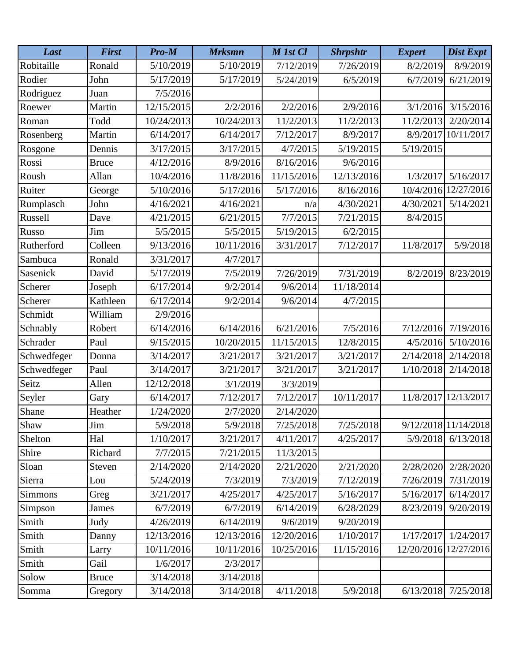| Last           | <b>First</b> | Pro-M      | <b>Mrksmn</b> | M 1st Cl   | <b>Shrpshtr</b> | <b>Expert</b>         | Dist Expt            |
|----------------|--------------|------------|---------------|------------|-----------------|-----------------------|----------------------|
| Robitaille     | Ronald       | 5/10/2019  | 5/10/2019     | 7/12/2019  | 7/26/2019       | 8/2/2019              | 8/9/2019             |
| Rodier         | John         | 5/17/2019  | 5/17/2019     | 5/24/2019  | 6/5/2019        | 6/7/2019              | 6/21/2019            |
| Rodriguez      | Juan         | 7/5/2016   |               |            |                 |                       |                      |
| Roewer         | Martin       | 12/15/2015 | 2/2/2016      | 2/2/2016   | 2/9/2016        | 3/1/2016              | 3/15/2016            |
| Roman          | Todd         | 10/24/2013 | 10/24/2013    | 11/2/2013  | 11/2/2013       | 11/2/2013             | 2/20/2014            |
| Rosenberg      | Martin       | 6/14/2017  | 6/14/2017     | 7/12/2017  | 8/9/2017        | 8/9/2017              | 10/11/2017           |
| Rosgone        | Dennis       | 3/17/2015  | 3/17/2015     | 4/7/2015   | 5/19/2015       | 5/19/2015             |                      |
| Rossi          | <b>Bruce</b> | 4/12/2016  | 8/9/2016      | 8/16/2016  | 9/6/2016        |                       |                      |
| Roush          | Allan        | 10/4/2016  | 11/8/2016     | 11/15/2016 | 12/13/2016      | 1/3/2017              | 5/16/2017            |
| Ruiter         | George       | 5/10/2016  | 5/17/2016     | 5/17/2016  | 8/16/2016       | 10/4/2016             | 12/27/2016           |
| Rumplasch      | John         | 4/16/2021  | 4/16/2021     | n/a        | 4/30/2021       | 4/30/2021             | 5/14/2021            |
| Russell        | Dave         | 4/21/2015  | 6/21/2015     | 7/7/2015   | 7/21/2015       | 8/4/2015              |                      |
| Russo          | Jim          | 5/5/2015   | 5/5/2015      | 5/19/2015  | 6/2/2015        |                       |                      |
| Rutherford     | Colleen      | 9/13/2016  | 10/11/2016    | 3/31/2017  | 7/12/2017       | 11/8/2017             | 5/9/2018             |
| Sambuca        | Ronald       | 3/31/2017  | 4/7/2017      |            |                 |                       |                      |
| Sasenick       | David        | 5/17/2019  | 7/5/2019      | 7/26/2019  | 7/31/2019       | 8/2/2019              | 8/23/2019            |
| Scherer        | Joseph       | 6/17/2014  | 9/2/2014      | 9/6/2014   | 11/18/2014      |                       |                      |
| Scherer        | Kathleen     | 6/17/2014  | 9/2/2014      | 9/6/2014   | 4/7/2015        |                       |                      |
| Schmidt        | William      | 2/9/2016   |               |            |                 |                       |                      |
| Schnably       | Robert       | 6/14/2016  | 6/14/2016     | 6/21/2016  | 7/5/2016        | 7/12/2016             | 7/19/2016            |
| Schrader       | Paul         | 9/15/2015  | 10/20/2015    | 11/15/2015 | 12/8/2015       | 4/5/2016              | 5/10/2016            |
| Schwedfeger    | Donna        | 3/14/2017  | 3/21/2017     | 3/21/2017  | 3/21/2017       | 2/14/2018             | 2/14/2018            |
| Schwedfeger    | Paul         | 3/14/2017  | 3/21/2017     | 3/21/2017  | 3/21/2017       | 1/10/2018             | 2/14/2018            |
| Seitz          | Allen        | 12/12/2018 | 3/1/2019      | 3/3/2019   |                 |                       |                      |
| Seyler         | Gary         | 6/14/2017  | 7/12/2017     | 7/12/2017  | 10/11/2017      | 11/8/2017             | 12/13/2017           |
| Shane          | Heather      | 1/24/2020  | 2/7/2020      | 2/14/2020  |                 |                       |                      |
| Shaw           | Jim          | 5/9/2018   | 5/9/2018      | 7/25/2018  | 7/25/2018       |                       | 9/12/2018 11/14/2018 |
| Shelton        | Hal          | 1/10/2017  | 3/21/2017     | 4/11/2017  | 4/25/2017       | 5/9/2018              | 6/13/2018            |
| Shire          | Richard      | 7/7/2015   | 7/21/2015     | 11/3/2015  |                 |                       |                      |
| Sloan          | Steven       | 2/14/2020  | 2/14/2020     | 2/21/2020  | 2/21/2020       | 2/28/2020             | 2/28/2020            |
| Sierra         | Lou          | 5/24/2019  | 7/3/2019      | 7/3/2019   | 7/12/2019       | 7/26/2019             | 7/31/2019            |
| <b>Simmons</b> | Greg         | 3/21/2017  | 4/25/2017     | 4/25/2017  | 5/16/2017       | 5/16/2017             | 6/14/2017            |
| Simpson        | James        | 6/7/2019   | 6/7/2019      | 6/14/2019  | 6/28/2029       | 8/23/2019             | 9/20/2019            |
| Smith          | Judy         | 4/26/2019  | 6/14/2019     | 9/6/2019   | 9/20/2019       |                       |                      |
| Smith          | Danny        | 12/13/2016 | 12/13/2016    | 12/20/2016 | 1/10/2017       | 1/17/2017             | 1/24/2017            |
| Smith          | Larry        | 10/11/2016 | 10/11/2016    | 10/25/2016 | 11/15/2016      | 12/20/2016 12/27/2016 |                      |
| Smith          | Gail         | 1/6/2017   | 2/3/2017      |            |                 |                       |                      |
| Solow          | <b>Bruce</b> | 3/14/2018  | 3/14/2018     |            |                 |                       |                      |
| Somma          | Gregory      | 3/14/2018  | 3/14/2018     | 4/11/2018  | 5/9/2018        | 6/13/2018             | 7/25/2018            |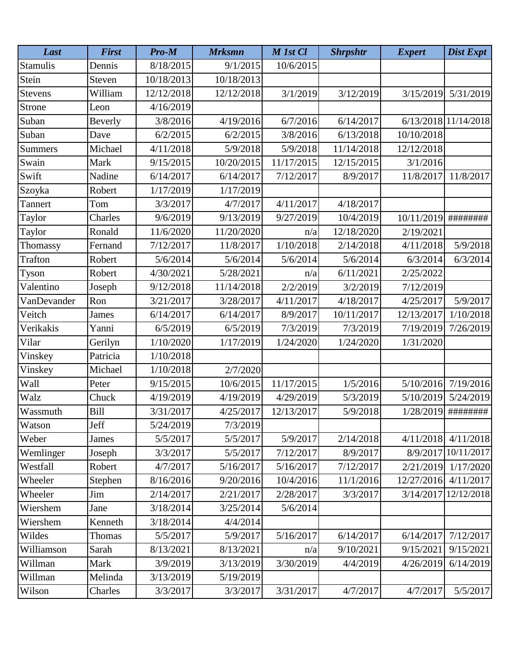| Last            | <b>First</b> | Pro-M      | <b>Mrksmn</b> | M 1st Cl   | <b>Shrpshtr</b> | <b>Expert</b> | Dist Expt            |
|-----------------|--------------|------------|---------------|------------|-----------------|---------------|----------------------|
| <b>Stamulis</b> | Dennis       | 8/18/2015  | 9/1/2015      | 10/6/2015  |                 |               |                      |
| Stein           | Steven       | 10/18/2013 | 10/18/2013    |            |                 |               |                      |
| <b>Stevens</b>  | William      | 12/12/2018 | 12/12/2018    | 3/1/2019   | 3/12/2019       | 3/15/2019     | 5/31/2019            |
| Strone          | Leon         | 4/16/2019  |               |            |                 |               |                      |
| Suban           | Beverly      | 3/8/2016   | 4/19/2016     | 6/7/2016   | 6/14/2017       |               | 6/13/2018 11/14/2018 |
| Suban           | Dave         | 6/2/2015   | 6/2/2015      | 3/8/2016   | 6/13/2018       | 10/10/2018    |                      |
| <b>Summers</b>  | Michael      | 4/11/2018  | 5/9/2018      | 5/9/2018   | 11/14/2018      | 12/12/2018    |                      |
| Swain           | Mark         | 9/15/2015  | 10/20/2015    | 11/17/2015 | 12/15/2015      | 3/1/2016      |                      |
| Swift           | Nadine       | 6/14/2017  | 6/14/2017     | 7/12/2017  | 8/9/2017        | 11/8/2017     | 11/8/2017            |
| Szoyka          | Robert       | 1/17/2019  | 1/17/2019     |            |                 |               |                      |
| Tannert         | Tom          | 3/3/2017   | 4/7/2017      | 4/11/2017  | 4/18/2017       |               |                      |
| Taylor          | Charles      | 9/6/2019   | 9/13/2019     | 9/27/2019  | 10/4/2019       | 10/11/2019    | ########             |
| Taylor          | Ronald       | 11/6/2020  | 11/20/2020    | n/a        | 12/18/2020      | 2/19/2021     |                      |
| Thomassy        | Fernand      | 7/12/2017  | 11/8/2017     | 1/10/2018  | 2/14/2018       | 4/11/2018     | 5/9/2018             |
| <b>Trafton</b>  | Robert       | 5/6/2014   | 5/6/2014      | 5/6/2014   | 5/6/2014        | 6/3/2014      | 6/3/2014             |
| Tyson           | Robert       | 4/30/2021  | 5/28/2021     | n/a        | 6/11/2021       | 2/25/2022     |                      |
| Valentino       | Joseph       | 9/12/2018  | 11/14/2018    | 2/2/2019   | 3/2/2019        | 7/12/2019     |                      |
| VanDevander     | Ron          | 3/21/2017  | 3/28/2017     | 4/11/2017  | 4/18/2017       | 4/25/2017     | 5/9/2017             |
| Veitch          | James        | 6/14/2017  | 6/14/2017     | 8/9/2017   | 10/11/2017      | 12/13/2017    | 1/10/2018            |
| Verikakis       | Yanni        | 6/5/2019   | 6/5/2019      | 7/3/2019   | 7/3/2019        | 7/19/2019     | 7/26/2019            |
| Vilar           | Gerilyn      | 1/10/2020  | 1/17/2019     | 1/24/2020  | 1/24/2020       | 1/31/2020     |                      |
| Vinskey         | Patricia     | 1/10/2018  |               |            |                 |               |                      |
| Vinskey         | Michael      | 1/10/2018  | 2/7/2020      |            |                 |               |                      |
| Wall            | Peter        | 9/15/2015  | 10/6/2015     | 11/17/2015 | 1/5/2016        | 5/10/2016     | 7/19/2016            |
| Walz            | Chuck        | 4/19/2019  | 4/19/2019     | 4/29/2019  | 5/3/2019        | 5/10/2019     | 5/24/2019            |
| Wassmuth        | Bill         | 3/31/2017  | 4/25/2017     | 12/13/2017 | 5/9/2018        | 1/28/2019     | ########             |
| Watson          | Jeff         | 5/24/2019  | 7/3/2019      |            |                 |               |                      |
| Weber           | James        | 5/5/2017   | 5/5/2017      | 5/9/2017   | 2/14/2018       | 4/11/2018     | 4/11/2018            |
| Wemlinger       | Joseph       | 3/3/2017   | 5/5/2017      | 7/12/2017  | 8/9/2017        | 8/9/2017      | 10/11/2017           |
| Westfall        | Robert       | 4/7/2017   | 5/16/2017     | 5/16/2017  | 7/12/2017       | 2/21/2019     | 1/17/2020            |
| Wheeler         | Stephen      | 8/16/2016  | 9/20/2016     | 10/4/2016  | 11/1/2016       | 12/27/2016    | 4/11/2017            |
| Wheeler         | Jim          | 2/14/2017  | 2/21/2017     | 2/28/2017  | 3/3/2017        | 3/14/2017     | 12/12/2018           |
| Wiershem        | Jane         | 3/18/2014  | 3/25/2014     | 5/6/2014   |                 |               |                      |
| Wiershem        | Kenneth      | 3/18/2014  | 4/4/2014      |            |                 |               |                      |
| Wildes          | Thomas       | 5/5/2017   | 5/9/2017      | 5/16/2017  | 6/14/2017       | 6/14/2017     | 7/12/2017            |
| Williamson      | Sarah        | 8/13/2021  | 8/13/2021     | n/a        | 9/10/2021       | 9/15/2021     | 9/15/2021            |
| Willman         | Mark         | 3/9/2019   | 3/13/2019     | 3/30/2019  | 4/4/2019        | 4/26/2019     | 6/14/2019            |
| Willman         | Melinda      | 3/13/2019  | 5/19/2019     |            |                 |               |                      |
| Wilson          | Charles      | 3/3/2017   | 3/3/2017      | 3/31/2017  | 4/7/2017        | 4/7/2017      | 5/5/2017             |